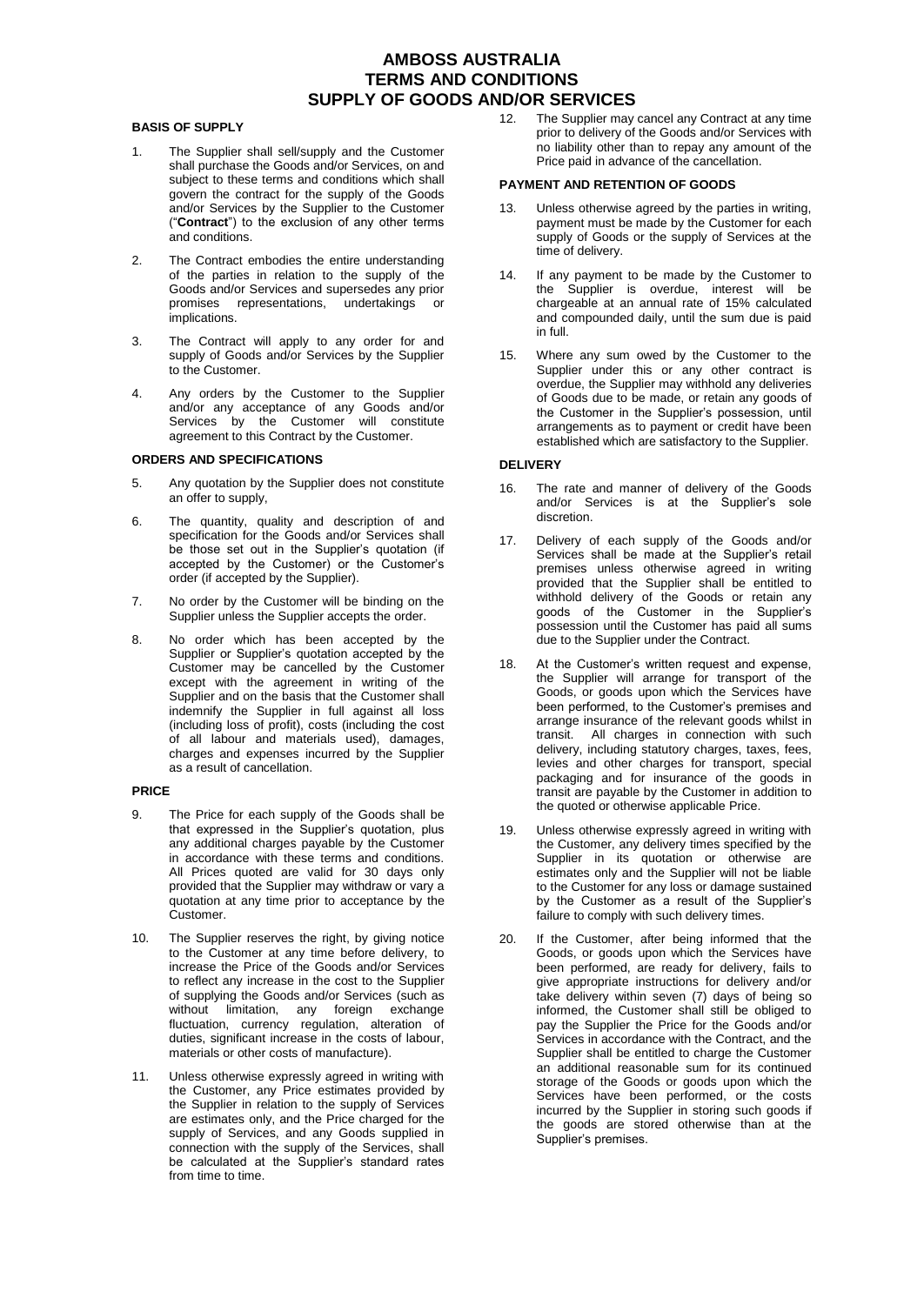# **AMBOSS AUSTRALIA TERMS AND CONDITIONS SUPPLY OF GOODS AND/OR SERVICES**

# **BASIS OF SUPPLY**

- 1. The Supplier shall sell/supply and the Customer shall purchase the Goods and/or Services, on and subject to these terms and conditions which shall govern the contract for the supply of the Goods and/or Services by the Supplier to the Customer ("**Contract**") to the exclusion of any other terms and conditions.
- 2. The Contract embodies the entire understanding of the parties in relation to the supply of the Goods and/or Services and supersedes any prior promises representations, undertakings or implications.
- 3. The Contract will apply to any order for and supply of Goods and/or Services by the Supplier to the Customer.
- 4. Any orders by the Customer to the Supplier and/or any acceptance of any Goods and/or Services by the Customer will constitute agreement to this Contract by the Customer.

# **ORDERS AND SPECIFICATIONS**

- 5. Any quotation by the Supplier does not constitute an offer to supply,
- 6. The quantity, quality and description of and specification for the Goods and/or Services shall be those set out in the Supplier's quotation (if accepted by the Customer) or the Customer's order (if accepted by the Supplier).
- 7. No order by the Customer will be binding on the Supplier unless the Supplier accepts the order.
- 8. No order which has been accepted by the Supplier or Supplier's quotation accepted by the Customer may be cancelled by the Customer except with the agreement in writing of the Supplier and on the basis that the Customer shall indemnify the Supplier in full against all loss (including loss of profit), costs (including the cost of all labour and materials used), damages, charges and expenses incurred by the Supplier as a result of cancellation.

### **PRICE**

- 9. The Price for each supply of the Goods shall be that expressed in the Supplier's quotation, plus any additional charges payable by the Customer in accordance with these terms and conditions. All Prices quoted are valid for 30 days only provided that the Supplier may withdraw or vary a quotation at any time prior to acceptance by the Customer.
- 10. The Supplier reserves the right, by giving notice to the Customer at any time before delivery, to increase the Price of the Goods and/or Services to reflect any increase in the cost to the Supplier of supplying the Goods and/or Services (such as without limitation, any foreign exchange fluctuation, currency regulation, alteration of duties, significant increase in the costs of labour, materials or other costs of manufacture).
- 11. Unless otherwise expressly agreed in writing with the Customer, any Price estimates provided by the Supplier in relation to the supply of Services are estimates only, and the Price charged for the supply of Services, and any Goods supplied in connection with the supply of the Services, shall be calculated at the Supplier's standard rates from time to time.

12. The Supplier may cancel any Contract at any time prior to delivery of the Goods and/or Services with no liability other than to repay any amount of the Price paid in advance of the cancellation.

#### **PAYMENT AND RETENTION OF GOODS**

- Unless otherwise agreed by the parties in writing, payment must be made by the Customer for each supply of Goods or the supply of Services at the time of delivery.
- 14. If any payment to be made by the Customer to the Supplier is overdue, interest will be chargeable at an annual rate of 15% calculated and compounded daily, until the sum due is paid in full.
- 15. Where any sum owed by the Customer to the Supplier under this or any other contract is overdue, the Supplier may withhold any deliveries of Goods due to be made, or retain any goods of the Customer in the Supplier's possession, until arrangements as to payment or credit have been established which are satisfactory to the Supplier.

## **DELIVERY**

- 16. The rate and manner of delivery of the Goods and/or Services is at the Supplier's sole discretion.
- 17. Delivery of each supply of the Goods and/or Services shall be made at the Supplier's retail premises unless otherwise agreed in writing provided that the Supplier shall be entitled to withhold delivery of the Goods or retain any goods of the Customer in the Supplier's possession until the Customer has paid all sums due to the Supplier under the Contract.
- 18. At the Customer's written request and expense, the Supplier will arrange for transport of the Goods, or goods upon which the Services have been performed, to the Customer's premises and arrange insurance of the relevant goods whilst in transit. All charges in connection with such delivery, including statutory charges, taxes, fees, levies and other charges for transport, special packaging and for insurance of the goods in transit are payable by the Customer in addition to the quoted or otherwise applicable Price.
- 19. Unless otherwise expressly agreed in writing with the Customer, any delivery times specified by the Supplier in its quotation or otherwise are estimates only and the Supplier will not be liable to the Customer for any loss or damage sustained by the Customer as a result of the Supplier's failure to comply with such delivery times.
- 20. If the Customer, after being informed that the Goods, or goods upon which the Services have been performed, are ready for delivery, fails to give appropriate instructions for delivery and/or take delivery within seven (7) days of being so informed, the Customer shall still be obliged to pay the Supplier the Price for the Goods and/or Services in accordance with the Contract, and the Supplier shall be entitled to charge the Customer an additional reasonable sum for its continued storage of the Goods or goods upon which the Services have been performed, or the costs incurred by the Supplier in storing such goods if the goods are stored otherwise than at the Supplier's premises.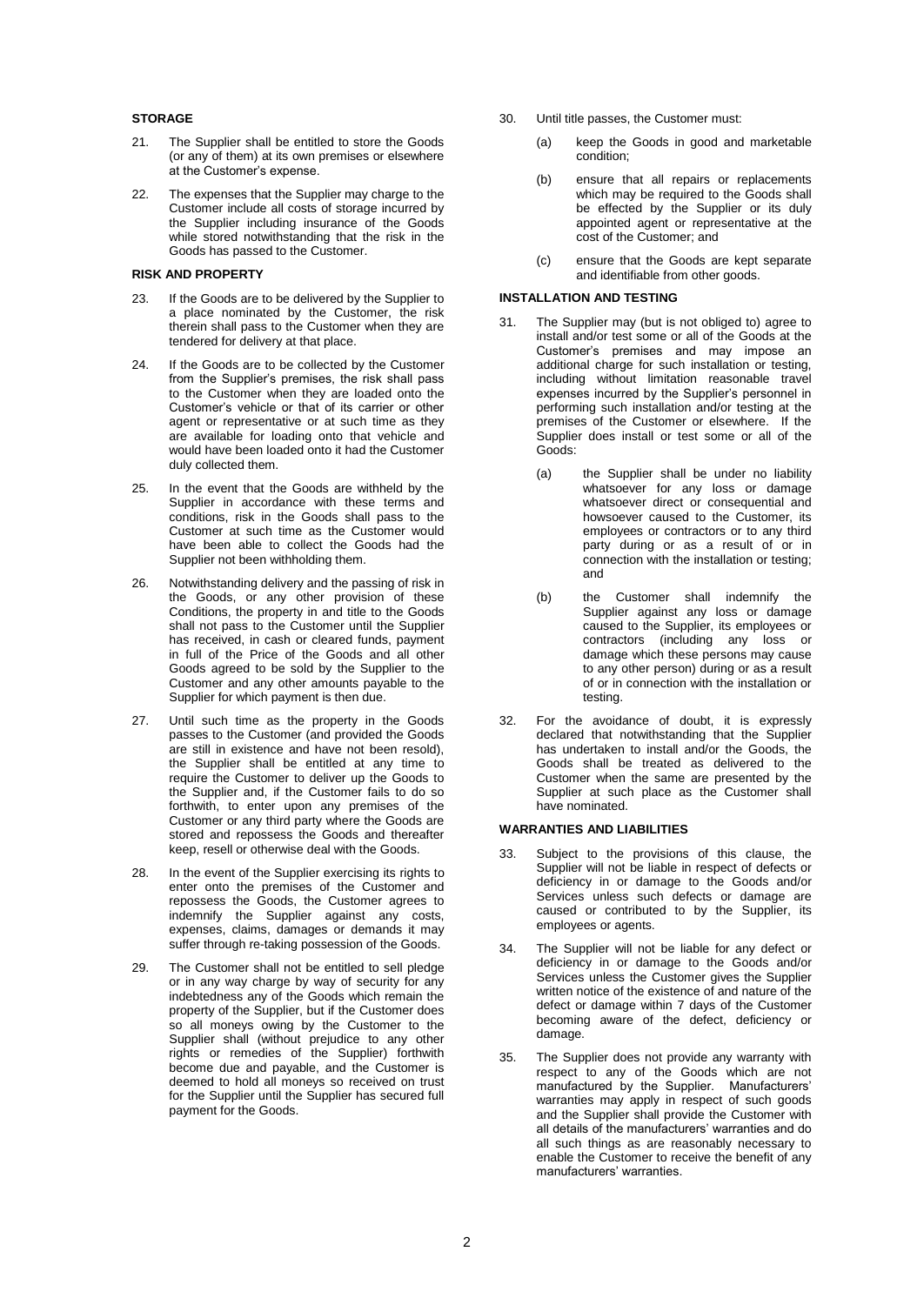# **STORAGE**

- 21. The Supplier shall be entitled to store the Goods (or any of them) at its own premises or elsewhere at the Customer's expense.
- 22. The expenses that the Supplier may charge to the Customer include all costs of storage incurred by the Supplier including insurance of the Goods while stored notwithstanding that the risk in the Goods has passed to the Customer.

#### **RISK AND PROPERTY**

- 23. If the Goods are to be delivered by the Supplier to a place nominated by the Customer, the risk therein shall pass to the Customer when they are tendered for delivery at that place.
- 24. If the Goods are to be collected by the Customer from the Supplier's premises, the risk shall pass to the Customer when they are loaded onto the Customer's vehicle or that of its carrier or other agent or representative or at such time as they are available for loading onto that vehicle and would have been loaded onto it had the Customer duly collected them.
- 25. In the event that the Goods are withheld by the Supplier in accordance with these terms and conditions, risk in the Goods shall pass to the Customer at such time as the Customer would have been able to collect the Goods had the Supplier not been withholding them.
- 26. Notwithstanding delivery and the passing of risk in the Goods, or any other provision of these Conditions, the property in and title to the Goods shall not pass to the Customer until the Supplier has received, in cash or cleared funds, payment in full of the Price of the Goods and all other Goods agreed to be sold by the Supplier to the Customer and any other amounts payable to the Supplier for which payment is then due.
- 27. Until such time as the property in the Goods passes to the Customer (and provided the Goods are still in existence and have not been resold), the Supplier shall be entitled at any time to require the Customer to deliver up the Goods to the Supplier and, if the Customer fails to do so forthwith, to enter upon any premises of the Customer or any third party where the Goods are stored and repossess the Goods and thereafter keep, resell or otherwise deal with the Goods.
- 28. In the event of the Supplier exercising its rights to enter onto the premises of the Customer and repossess the Goods, the Customer agrees to indemnify the Supplier against any costs, expenses, claims, damages or demands it may suffer through re-taking possession of the Goods.
- 29. The Customer shall not be entitled to sell pledge or in any way charge by way of security for any indebtedness any of the Goods which remain the property of the Supplier, but if the Customer does so all moneys owing by the Customer to the Supplier shall (without prejudice to any other rights or remedies of the Supplier) forthwith become due and payable, and the Customer is deemed to hold all moneys so received on trust for the Supplier until the Supplier has secured full payment for the Goods.
- 30. Until title passes, the Customer must:
	- (a) keep the Goods in good and marketable condition;
	- (b) ensure that all repairs or replacements which may be required to the Goods shall be effected by the Supplier or its duly appointed agent or representative at the cost of the Customer; and
	- (c) ensure that the Goods are kept separate and identifiable from other goods.

#### **INSTALLATION AND TESTING**

- 31. The Supplier may (but is not obliged to) agree to install and/or test some or all of the Goods at the Customer's premises and may impose an additional charge for such installation or testing, including without limitation reasonable travel expenses incurred by the Supplier's personnel in performing such installation and/or testing at the premises of the Customer or elsewhere. If the Supplier does install or test some or all of the Goods:
	- (a) the Supplier shall be under no liability whatsoever for any loss or damage whatsoever direct or consequential and howsoever caused to the Customer, its employees or contractors or to any third party during or as a result of or in connection with the installation or testing; and
	- (b) the Customer shall indemnify the Supplier against any loss or damage caused to the Supplier, its employees or contractors (including any loss or damage which these persons may cause to any other person) during or as a result of or in connection with the installation or testing.
- 32. For the avoidance of doubt, it is expressly declared that notwithstanding that the Supplier has undertaken to install and/or the Goods, the Goods shall be treated as delivered to the Customer when the same are presented by the Supplier at such place as the Customer shall have nominated.

#### **WARRANTIES AND LIABILITIES**

- 33. Subject to the provisions of this clause, the Supplier will not be liable in respect of defects or deficiency in or damage to the Goods and/or Services unless such defects or damage are caused or contributed to by the Supplier, its employees or agents.
- 34. The Supplier will not be liable for any defect or deficiency in or damage to the Goods and/or Services unless the Customer gives the Supplier written notice of the existence of and nature of the defect or damage within 7 days of the Customer becoming aware of the defect, deficiency or damage.
- 35. The Supplier does not provide any warranty with respect to any of the Goods which are not manufactured by the Supplier. Manufacturers' warranties may apply in respect of such goods and the Supplier shall provide the Customer with all details of the manufacturers' warranties and do all such things as are reasonably necessary to enable the Customer to receive the benefit of any manufacturers' warranties.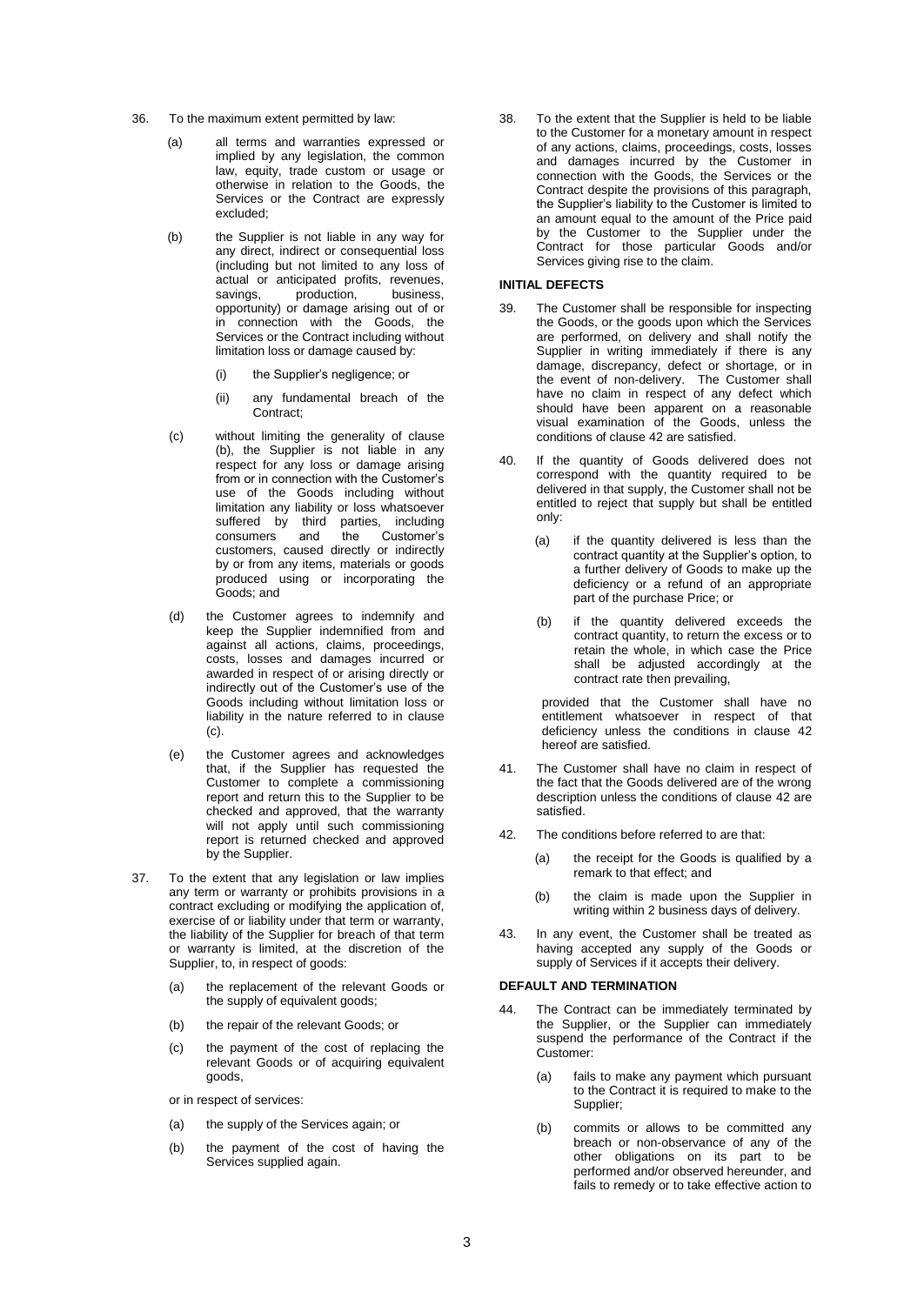- 36. To the maximum extent permitted by law:
	- (a) all terms and warranties expressed or implied by any legislation, the common law, equity, trade custom or usage or otherwise in relation to the Goods, the Services or the Contract are expressly excluded;
	- (b) the Supplier is not liable in any way for any direct, indirect or consequential loss (including but not limited to any loss of actual or anticipated profits, revenues,<br>savings, production, business, savings, production, business, opportunity) or damage arising out of or in connection with the Goods, the Services or the Contract including without limitation loss or damage caused by:
		- (i) the Supplier's negligence; or
		- (ii) any fundamental breach of the Contract;
	- (c) without limiting the generality of clause (b), the Supplier is not liable in any respect for any loss or damage arising from or in connection with the Customer's use of the Goods including without limitation any liability or loss whatsoever suffered by third parties, including consumers and the Customer's customers, caused directly or indirectly by or from any items, materials or goods produced using or incorporating the Goods; and
	- (d) the Customer agrees to indemnify and keep the Supplier indemnified from and against all actions, claims, proceedings, costs, losses and damages incurred or awarded in respect of or arising directly or indirectly out of the Customer's use of the Goods including without limitation loss or liability in the nature referred to in clause (c).
	- (e) the Customer agrees and acknowledges that, if the Supplier has requested the Customer to complete a commissioning report and return this to the Supplier to be checked and approved, that the warranty will not apply until such commissioning report is returned checked and approved by the Supplier.
- 37. To the extent that any legislation or law implies any term or warranty or prohibits provisions in a contract excluding or modifying the application of, exercise of or liability under that term or warranty, the liability of the Supplier for breach of that term or warranty is limited, at the discretion of the Supplier, to, in respect of goods:
	- (a) the replacement of the relevant Goods or the supply of equivalent goods;
	- (b) the repair of the relevant Goods; or
	- (c) the payment of the cost of replacing the relevant Goods or of acquiring equivalent goods,

or in respect of services:

- (a) the supply of the Services again; or
- (b) the payment of the cost of having the Services supplied again.

38. To the extent that the Supplier is held to be liable to the Customer for a monetary amount in respect of any actions, claims, proceedings, costs, losses and damages incurred by the Customer in connection with the Goods, the Services or the Contract despite the provisions of this paragraph, the Supplier's liability to the Customer is limited to an amount equal to the amount of the Price paid by the Customer to the Supplier under the Contract for those particular Goods and/or Services giving rise to the claim.

## **INITIAL DEFECTS**

- 39. The Customer shall be responsible for inspecting the Goods, or the goods upon which the Services are performed, on delivery and shall notify the Supplier in writing immediately if there is any damage, discrepancy, defect or shortage, or in the event of non-delivery. The Customer shall have no claim in respect of any defect which should have been apparent on a reasonable visual examination of the Goods, unless the conditions of claus[e 42](#page-2-0) are satisfied.
- 40. If the quantity of Goods delivered does not correspond with the quantity required to be delivered in that supply, the Customer shall not be entitled to reject that supply but shall be entitled only:
	- (a) if the quantity delivered is less than the contract quantity at the Supplier's option, to a further delivery of Goods to make up the deficiency or a refund of an appropriate part of the purchase Price; or
	- (b) if the quantity delivered exceeds the contract quantity, to return the excess or to retain the whole, in which case the Price shall be adjusted accordingly at the contract rate then prevailing,

provided that the Customer shall have no entitlement whatsoever in respect of that deficiency unless the conditions in clause 42 hereof are satisfied.

- 41. The Customer shall have no claim in respect of the fact that the Goods delivered are of the wrong description unless the conditions of clause [42](#page-2-0) are satisfied.
- <span id="page-2-0"></span>42. The conditions before referred to are that:
	- (a) the receipt for the Goods is qualified by a remark to that effect; and
	- (b) the claim is made upon the Supplier in writing within 2 business days of delivery.
- 43. In any event, the Customer shall be treated as having accepted any supply of the Goods or supply of Services if it accepts their delivery.

#### **DEFAULT AND TERMINATION**

- 44. The Contract can be immediately terminated by the Supplier, or the Supplier can immediately suspend the performance of the Contract if the Customer:
	- (a) fails to make any payment which pursuant to the Contract it is required to make to the Supplier;
	- (b) commits or allows to be committed any breach or non-observance of any of the other obligations on its part to be performed and/or observed hereunder, and fails to remedy or to take effective action to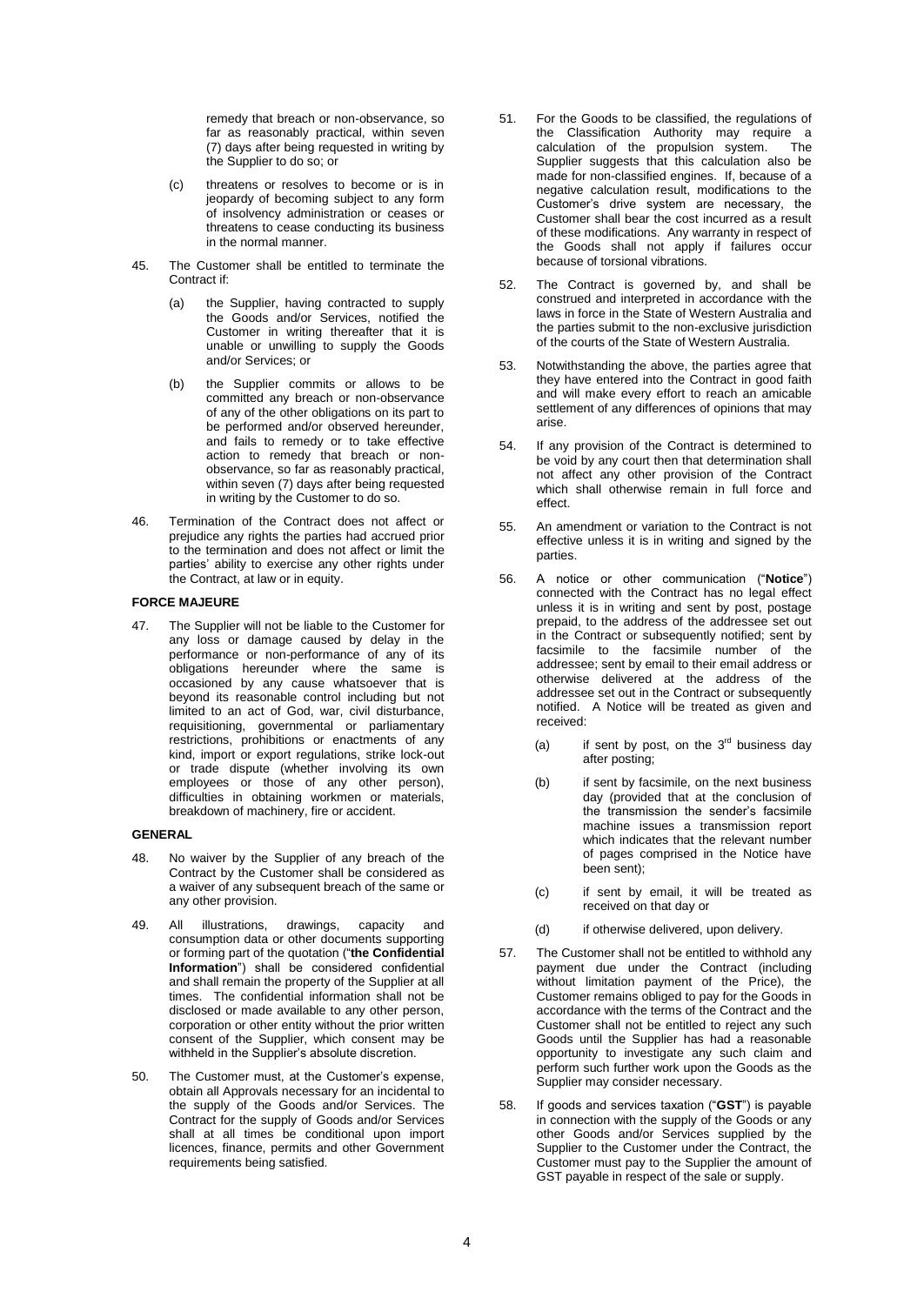remedy that breach or non-observance, so far as reasonably practical, within seven (7) days after being requested in writing by the Supplier to do so; or

- (c) threatens or resolves to become or is in jeopardy of becoming subject to any form of insolvency administration or ceases or threatens to cease conducting its business in the normal manner.
- 45. The Customer shall be entitled to terminate the Contract if:
	- (a) the Supplier, having contracted to supply the Goods and/or Services, notified the Customer in writing thereafter that it is unable or unwilling to supply the Goods and/or Services; or
	- (b) the Supplier commits or allows to be committed any breach or non-observance of any of the other obligations on its part to be performed and/or observed hereunder, and fails to remedy or to take effective action to remedy that breach or nonobservance, so far as reasonably practical, within seven (7) days after being requested in writing by the Customer to do so.
- 46. Termination of the Contract does not affect or prejudice any rights the parties had accrued prior to the termination and does not affect or limit the parties' ability to exercise any other rights under the Contract, at law or in equity.

# **FORCE MAJEURE**

47. The Supplier will not be liable to the Customer for any loss or damage caused by delay in the performance or non-performance of any of its obligations hereunder where the same is occasioned by any cause whatsoever that is beyond its reasonable control including but not limited to an act of God, war, civil disturbance, requisitioning, governmental or parliamentary restrictions, prohibitions or enactments of any kind, import or export regulations, strike lock-out or trade dispute (whether involving its own employees or those of any other person), difficulties in obtaining workmen or materials, breakdown of machinery, fire or accident.

#### **GENERAL**

- 48. No waiver by the Supplier of any breach of the Contract by the Customer shall be considered as a waiver of any subsequent breach of the same or any other provision.
- 49. All illustrations, drawings, capacity and consumption data or other documents supporting or forming part of the quotation ("**the Confidential Information**") shall be considered confidential and shall remain the property of the Supplier at all times. The confidential information shall not be disclosed or made available to any other person, corporation or other entity without the prior written consent of the Supplier, which consent may be withheld in the Supplier's absolute discretion.
- 50. The Customer must, at the Customer's expense, obtain all Approvals necessary for an incidental to the supply of the Goods and/or Services. The Contract for the supply of Goods and/or Services shall at all times be conditional upon import licences, finance, permits and other Government requirements being satisfied.
- 51. For the Goods to be classified, the regulations of the Classification Authority may require a calculation of the propulsion system. The Supplier suggests that this calculation also be made for non-classified engines. If, because of a negative calculation result, modifications to the Customer's drive system are necessary, the Customer shall bear the cost incurred as a result of these modifications. Any warranty in respect of the Goods shall not apply if failures occur because of torsional vibrations.
- 52. The Contract is governed by, and shall be construed and interpreted in accordance with the laws in force in the State of Western Australia and the parties submit to the non-exclusive jurisdiction of the courts of the State of Western Australia.
- 53. Notwithstanding the above, the parties agree that they have entered into the Contract in good faith and will make every effort to reach an amicable settlement of any differences of opinions that may arise.
- 54. If any provision of the Contract is determined to be void by any court then that determination shall not affect any other provision of the Contract which shall otherwise remain in full force and effect.
- 55. An amendment or variation to the Contract is not effective unless it is in writing and signed by the parties.
- 56. A notice or other communication ("**Notice**") connected with the Contract has no legal effect unless it is in writing and sent by post, postage prepaid, to the address of the addressee set out in the Contract or subsequently notified; sent by facsimile to the facsimile number of the addressee; sent by email to their email address or otherwise delivered at the address of the addressee set out in the Contract or subsequently notified. A Notice will be treated as given and received:
	- (a) if sent by post, on the  $3<sup>rd</sup>$  business day after posting;
	- (b) if sent by facsimile, on the next business day (provided that at the conclusion of the transmission the sender's facsimile machine issues a transmission report which indicates that the relevant number of pages comprised in the Notice have been sent);
	- (c) if sent by email, it will be treated as received on that day or
	- (d) if otherwise delivered, upon delivery.
- 57. The Customer shall not be entitled to withhold any payment due under the Contract (including without limitation payment of the Price), the Customer remains obliged to pay for the Goods in accordance with the terms of the Contract and the Customer shall not be entitled to reject any such Goods until the Supplier has had a reasonable opportunity to investigate any such claim and perform such further work upon the Goods as the Supplier may consider necessary.
- 58. If goods and services taxation ("**GST**") is payable in connection with the supply of the Goods or any other Goods and/or Services supplied by the Supplier to the Customer under the Contract, the Customer must pay to the Supplier the amount of GST payable in respect of the sale or supply.